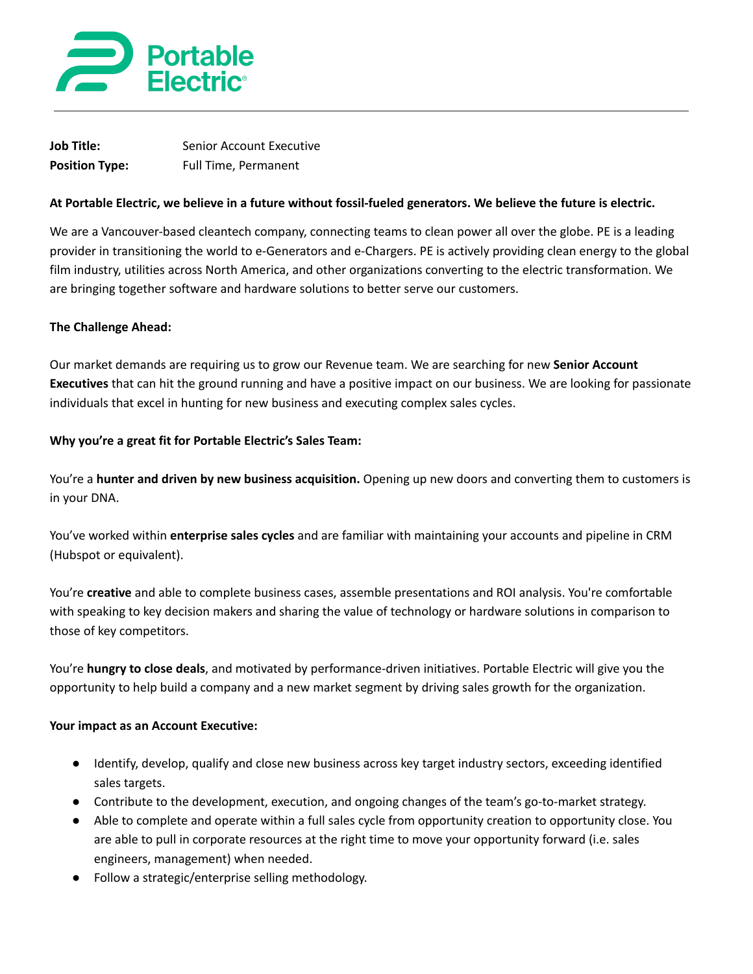

| <b>Job Title:</b>     | <b>Senior Account Executive</b> |
|-----------------------|---------------------------------|
| <b>Position Type:</b> | <b>Full Time, Permanent</b>     |

### At Portable Electric, we believe in a future without fossil-fueled generators. We believe the future is electric.

We are a Vancouver-based cleantech company, connecting teams to clean power all over the globe. PE is a leading provider in transitioning the world to e-Generators and e-Chargers. PE is actively providing clean energy to the global film industry, utilities across North America, and other organizations converting to the electric transformation. We are bringing together software and hardware solutions to better serve our customers.

#### **The Challenge Ahead:**

Our market demands are requiring us to grow our Revenue team. We are searching for new **Senior Account Executives** that can hit the ground running and have a positive impact on our business. We are looking for passionate individuals that excel in hunting for new business and executing complex sales cycles.

#### **Why you're a great fit for Portable Electric's Sales Team:**

You're a **hunter and driven by new business acquisition.** Opening up new doors and converting them to customers is in your DNA.

You've worked within **enterprise sales cycles** and are familiar with maintaining your accounts and pipeline in CRM (Hubspot or equivalent).

You're **creative** and able to complete business cases, assemble presentations and ROI analysis. You're comfortable with speaking to key decision makers and sharing the value of technology or hardware solutions in comparison to those of key competitors.

You're **hungry to close deals**, and motivated by performance-driven initiatives. Portable Electric will give you the opportunity to help build a company and a new market segment by driving sales growth for the organization.

### **Your impact as an Account Executive:**

- Identify, develop, qualify and close new business across key target industry sectors, exceeding identified sales targets.
- Contribute to the development, execution, and ongoing changes of the team's go-to-market strategy.
- Able to complete and operate within a full sales cycle from opportunity creation to opportunity close. You are able to pull in corporate resources at the right time to move your opportunity forward (i.e. sales engineers, management) when needed.
- Follow a strategic/enterprise selling methodology.